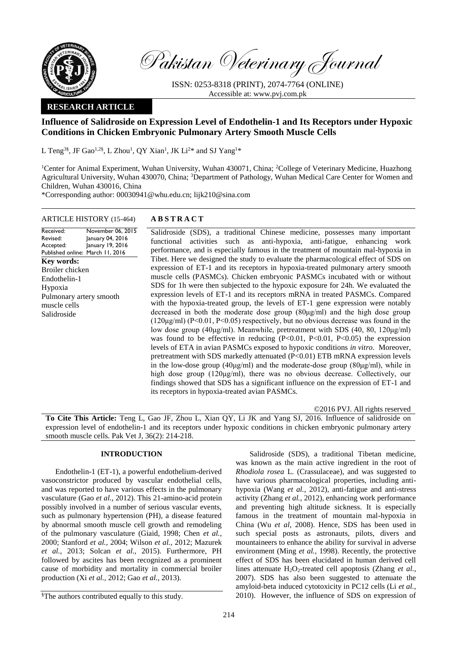

Pakistan Veterinary Journal

ISSN: 0253-8318 (PRINT), 2074-7764 (ONLINE) Accessible at: [www.pvj.com.pk](http://www.pvj.com.pk/)

## **RESEARCH ARTICLE**

# **Influence of Salidroside on Expression Level of Endothelin-1 and Its Receptors under Hypoxic Conditions in Chicken Embryonic Pulmonary Artery Smooth Muscle Cells**

L Teng<sup>3§</sup>, JF Gao<sup>1,2§</sup>, L Zhou<sup>1</sup>, QY Xian<sup>1</sup>, JK Li<sup>2\*</sup> and SJ Yang<sup>1\*</sup>

<sup>1</sup>Center for Animal Experiment, Wuhan University, Wuhan 430071, China; <sup>2</sup>College of Veterinary Medicine, Huazhong Agricultural University, Wuhan 430070, China; <sup>3</sup>Department of Pathology, Wuhan Medical Care Center for Women and Children, Wuhan 430016, China

\*Corresponding author: 00030941@whu.edu.cn; lijk210@sina.com

### ARTICLE HISTORY (15-464) **A B S T R A C T**

#### Received: Revised: Accepted: Published online: March 11, 2016 November 06, 2015 January 04, 2016 January 19, 2016 **Key words:**  Broiler chicken Endothelin-1 Hypoxia Pulmonary artery smooth muscle cells Salidroside

Salidroside (SDS), a traditional Chinese medicine, possesses many important functional activities such as anti-hypoxia, anti-fatigue, enhancing work performance, and is especially famous in the treatment of mountain mal-hypoxia in Tibet. Here we designed the study to evaluate the pharmacological effect of SDS on expression of ET-1 and its receptors in hypoxia-treated pulmonary artery smooth muscle cells (PASMCs). Chicken embryonic PASMCs incubated with or without SDS for 1h were then subjected to the hypoxic exposure for 24h. We evaluated the expression levels of ET-1 and its receptors mRNA in treated PASMCs. Compared with the hypoxia-treated group, the levels of ET-1 gene expression were notably decreased in both the moderate dose group  $(80\mu g/ml)$  and the high dose group  $(120\mu g/ml)$  (P<0.01, P<0.05) respectively, but no obvious decrease was found in the low dose group ( $40\mu\text{g/ml}$ ). Meanwhile, pretreatment with SDS (40, 80, 120 $\mu\text{g/ml}$ ) was found to be effective in reducing  $(P<0.01, P<0.01, P<0.05)$  the expression levels of ETA in avian PASMCs exposed to hypoxic conditions *in vitro*. Moreover, pretreatment with SDS markedly attenuated (P<0.01) ETB mRNA expression levels in the low-dose group (40μg/ml) and the moderate-dose group (80μg/ml), while in high dose group (120μg/ml), there was no obvious decrease. Collectively, our findings showed that SDS has a significant influence on the expression of ET-1 and its receptors in hypoxia-treated avian PASMCs.

©2016 PVJ. All rights reserved

**To Cite This Article:** Teng L, Gao JF, Zhou L, Xian QY, Li JK and Yang SJ, 2016. Influence of salidroside on expression level of endothelin-1 and its receptors under hypoxic conditions in chicken embryonic pulmonary artery smooth muscle cells. Pak Vet J, 36(2): 214-218.

## **INTRODUCTION**

Endothelin-1 (ET-1), a powerful endothelium-derived vasoconstrictor produced by vascular endothelial cells, and was reported to have various effects in the pulmonary vasculature (Gao *et al.,* 2012). This 21-amino-acid protein possibly involved in a number of serious vascular events, such as pulmonary hypertension (PH), a disease featured by abnormal smooth muscle cell growth and remodeling of the pulmonary vasculature (Giaid, 1998; Chen *et al.,*  2000; Stanford *et al.,* 2004; Wilson *et al.,* 2012; Mazurek *et al.,* 2013; Solcan *et al.,* 2015). Furthermore, PH followed by ascites has been recognized as a prominent cause of morbidity and mortality in commercial broiler production (Xi *et al.,* 2012; Gao *et al.,* 2013).

§The authors contributed equally to this study.

Salidroside (SDS), a traditional Tibetan medicine, was known as the main active ingredient in the root of *Rhodiola rosea* L. (Crassulaceae), and was suggested to have various pharmacological properties, including antihypoxia (Wang *et al.,* 2012), anti-fatigue and anti-stress activity (Zhang *et al.,* 2012), enhancing work performance and preventing high altitude sickness. It is especially famous in the treatment of mountain mal-hypoxia in China (Wu *et al,* 2008). Hence, SDS has been used in such special posts as astronauts, pilots, divers and mountaineers to enhance the ability for survival in adverse environment (Ming *et al.,* 1998). Recently, the protective effect of SDS has been elucidated in human derived cell lines attenuate H<sub>2</sub>O<sub>2</sub>-treated cell apoptosis (Zhang *et al.*, 2007). SDS has also been suggested to attenuate the amyloid-beta induced cytotoxicity in PC12 cells (Li *et al.,* 2010). However, the influence of SDS on expression of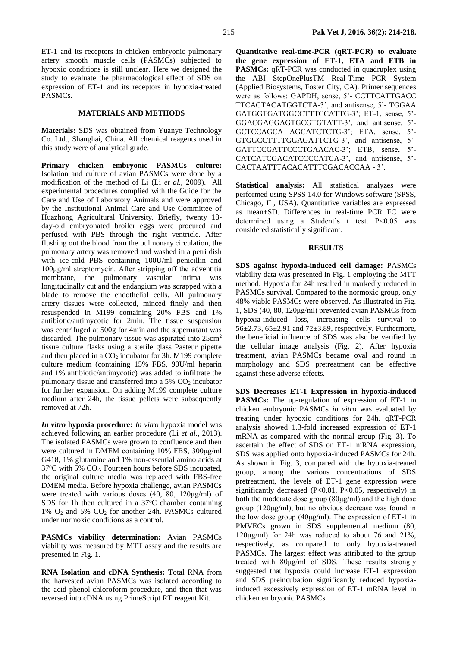ET-1 and its receptors in chicken embryonic pulmonary artery smooth muscle cells (PASMCs) subjected to hypoxic conditions is still unclear. Here we designed the study to evaluate the pharmacological effect of SDS on expression of ET-1 and its receptors in hypoxia-treated PASMCs.

#### **MATERIALS AND METHODS**

**Materials:** SDS was obtained from Yuanye Technology Co. Ltd., Shanghai, China. All chemical reagents used in this study were of analytical grade.

**Primary chicken embryonic PASMCs culture:**  Isolation and culture of avian PASMCs were done by a modification of the method of Li (Li *et al.,* 2009). All experimental procedures complied with the Guide for the Care and Use of Laboratory Animals and were approved by the Institutional Animal Care and Use Committee of Huazhong Agricultural University. Briefly, twenty 18 day-old embryonated broiler eggs were procured and perfused with PBS through the right ventricle. After flushing out the blood from the [pulmonary circulation,](javascript:showjdsw() the pulmonary artery was removed and washed in a petri dish with ice-cold PBS containing 100U/ml penicillin and 100μg/ml streptomycin. After stripping off the adventitia membrane, the pulmonary vascular intima was longitudinally cut and the endangium was scrapped with a blade to remove the endothelial cells. All pulmonary artery tissues were collected, minced finely and then resuspended in M199 containing 20% FBS and 1% antibiotic/antimycotic for 2min. The tissue suspension was centrifuged at 500g for 4min and the supernatant was discarded. The pulmonary tissue was aspirated into  $25 \text{cm}^2$ tissue culture flasks using a sterile glass Pasteur pipette and then placed in a  $CO<sub>2</sub>$  incubator for 3h. M199 complete culture medium (containing 15% FBS, 90U/ml heparin and 1% antibiotic/antimycotic) was added to infiltrate the pulmonary tissue and transferred into a 5% CO<sub>2</sub> incubator for further expansion. On adding M199 complete culture medium after 24h, the tissue pellets were subsequently removed at 72h.

*In vitro* **hypoxia procedure:** *In vitro* hypoxia model was achieved following an earlier procedure (Li *et al.,* 2013). The isolated PASMCs were grown to confluence and then were cultured in DMEM containing 10% FBS, 300μg/ml G418, 1% glutamine and 1% non-essential amino acids at  $37^{\circ}$ C with 5% CO<sub>2</sub>. Fourteen hours before SDS incubated, the original culture media was replaced with FBS-free DMEM media. Before hypoxia challenge, avian PASMCs were treated with various doses (40, 80, 120μg/ml) of SDS for 1h then cultured in a  $37^{\circ}$ C chamber containing 1%  $O_2$  and 5%  $CO_2$  for another 24h. PASMCs cultured under normoxic conditions as a control.

**PASMCs viability determination:** Avian PASMCs viability was measured by MTT assay and the results are presented in Fig. 1.

**RNA Isolation and cDNA Synthesis:** Total RNA from the harvested avian PASMCs was isolated according to the acid phenol-chloroform procedure, and then that was reversed into cDNA using PrimeScript RT reagent Kit.

**Quantitative real-time-PCR (qRT-PCR) to evaluate the gene expression of ET-1, ETA and ETB in PASMCs:** qRT-PCR was conducted in quadruplex using the ABI StepOnePlusTM Real-Time PCR System (Applied Biosystems, Foster City, CA). Primer sequences were as follows: GAPDH, sense, 5'- CCTTCATTGACC TTCACTACATGGTCTA-3', and antisense, 5'- TGGAA GATGGTGATGGCCTTTCCATTG-3'; ET-1, sense, 5'- GGACGAGGAGTGCGTGTATT-3', and antisense, 5'- GCTCCAGCA AGCATCTCTG-3'; ETA, sense, 5'- GTGGCCTTTTGGAGATTCTG-3', and antisense, 5'- GATTCCGATTCCCTGAACAC-3'; ETB, sense, 5'- CATCATCGACATCCCCATCA-3', and antisense, 5'- CACTAATTTACACATTTCGACACCAA - 3'.

**Statistical analysis:** All statistical analyzes were performed using SPSS 14.0 for Windows software (SPSS, Chicago, IL, USA). Quantitative variables are expressed as mean±SD. Differences in real-time PCR FC were determined using a Student's t test. P<0.05 was considered statistically significant.

#### **RESULTS**

**SDS against hypoxia-induced cell damage:** PASMCs viability data was presented in Fig. 1 employing the MTT method. Hypoxia for 24h resulted in markedly reduced in PASMCs survival. Compared to the normoxic group, only 48% viable PASMCs were observed. As illustrated in Fig. 1, SDS (40, 80, 120μg/ml) prevented avian PASMCs from hypoxia-induced loss, increasing cells survival to 56 $\pm$ 2.73, 65 $\pm$ 2.91 and 72 $\pm$ 3.89, respectively. Furthermore, the beneficial influence of SDS was also be verified by the cellular image analysis (Fig. 2). After hypoxia treatment, avian PASMCs became oval and round in morphology and SDS pretreatment can be effective against these adverse effects.

**SDS Decreases ET-1 Expression in hypoxia-induced PASMCs:** The up-regulation of expression of ET-1 in chicken embryonic PASMCs *in vitro* was evaluated by treating under hypoxic conditions for 24h. qRT-PCR analysis showed 1.3-fold increased expression of ET-1 mRNA as compared with the normal group (Fig. 3). To ascertain the effect of SDS on ET-1 mRNA expression, SDS was applied onto hypoxia-induced PASMCs for 24h. As shown in Fig. 3, compared with the hypoxia-treated group, among the various concentrations of SDS pretreatment, the levels of ET-1 gene expression were significantly decreased (P<0.01, P<0.05, respectively) in both the moderate dose group (80μg/ml) and the high dose group (120μg/ml), but no obvious decrease was found in the low dose group (40μg/ml). The expression of ET-1 in PMVECs grown in SDS supplemental medium (80, 120 $\mu$ g/ml) for 24h was reduced to about 76 and 21%, respectively, as compared to only hypoxia-treated PASMCs. The largest effect was attributed to the group treated with 80μg/ml of SDS. These results strongly suggested that hypoxia could increase ET-1 expression and SDS preincubation significantly reduced hypoxiainduced excessively expression of ET-1 mRNA level in chicken embryonic PASMCs.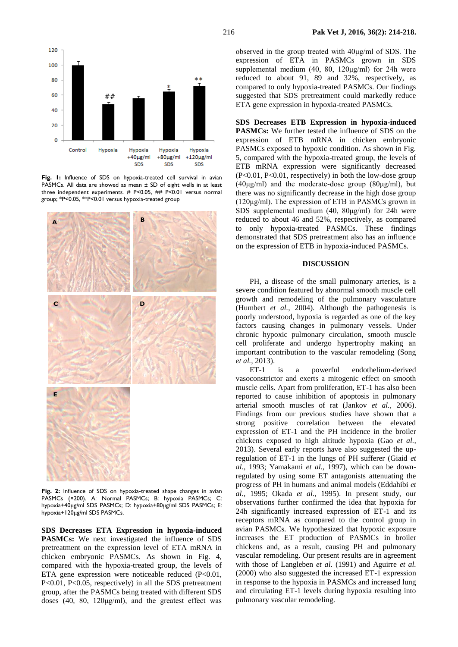

**Fig. 1:** Influence of SDS on hypoxia-treated cell survival in avian PASMCs. All data are showed as mean ± SD of eight wells in at least three independent experiments. # P<0.05, ## P<0.01 versus normal group; \*P<0.05, \*\*P<0.01 versus hypoxia-treated group



**Fig. 2:** Influence of SDS on hypoxia-treated shape changes in avian PASMCs (×200). A: Normal PASMCs; B: hypoxia PASMCs; C: hypoxia+40μg/ml SDS PASMCs; D: hypoxia+80μg/ml SDS PASMCs; E: hypoxia+120μg/ml SDS PASMCs.

**SDS Decreases ETA Expression in hypoxia-induced PASMCs:** We next investigated the influence of SDS pretreatment on the expression level of ETA mRNA in chicken embryonic PASMCs. As shown in Fig. 4, compared with the hypoxia-treated group, the levels of ETA gene expression were noticeable reduced (P<0.01, P<0.01, P<0.05, respectively) in all the SDS pretreatment group, after the PASMCs being treated with different SDS doses (40, 80, 120μg/ml), and the greatest effect was

observed in the group treated with 40μg/ml of SDS. The expression of ETA in PASMCs grown in SDS supplemental medium (40, 80, 120μg/ml) for 24h were reduced to about 91, 89 and 32%, respectively, as compared to only hypoxia-treated PASMCs. Our findings suggested that SDS pretreatment could markedly reduce ETA gene expression in hypoxia-treated PASMCs.

**SDS Decreases ETB Expression in hypoxia-induced PASMCs:** We further tested the influence of SDS on the expression of ETB mRNA in chicken embryonic PASMCs exposed to hypoxic condition. As shown in Fig. 5, compared with the hypoxia-treated group, the levels of ETB mRNA expression were significantly decreased (P<0.01, P<0.01, respectively) in both the low-dose group (40 $\mu$ g/ml) and the moderate-dose group (80 $\mu$ g/ml), but there was no significantly decrease in the high dose group (120μg/ml). The expression of ETB in PASMCs grown in SDS supplemental medium (40, 80μg/ml) for 24h were reduced to about 46 and 52%, respectively, as compared to only hypoxia-treated PASMCs. These findings demonstrated that SDS pretreatment also has an influence on the expression of ETB in hypoxia-induced PASMCs.

#### **DISCUSSION**

PH, a disease of the small pulmonary arteries, is a severe condition featured by abnormal smooth muscle cell growth and remodeling of the pulmonary vasculature (Humbert *et al.,* 2004). Although the pathogenesis is poorly understood, hypoxia is regarded as one of the key factors causing changes in pulmonary vessels. Under chronic hypoxic pulmonary circulation, smooth muscle cell proliferate and undergo hypertrophy making an important contribution to the vascular remodeling (Song *et al.,* 2013).

ET-1 is a powerful endothelium-derived vasoconstrictor and exerts a mitogenic effect on smooth muscle cells. Apart from proliferation, ET-1 has also been reported to cause inhibition of apoptosis in pulmonary arterial smooth muscles of rat (Jankov *et al.,* 2006). Findings from our previous studies have shown that a strong positive correlation between the elevated expression of ET-1 and the PH incidence in the broiler chickens exposed to high altitude hypoxia (Gao *et al.,*  2013). Several early reports have also suggested the upregulation of ET-1 in the lungs of PH sufferer (Giaid *et al.,* 1993; Yamakami *et al.,* 1997), which can be downregulated by using some ET antagonists attenuating the progress of PH in humans and animal models (Eddahibi *et al.,* 1995; Okada *et al.,* 1995). In present study, our observations further confirmed the idea that hypoxia for 24h significantly increased expression of ET-1 and its receptors mRNA as compared to the control group in avian PASMCs. We hypothesized that hypoxic exposure increases the ET production of PASMCs in broiler chickens and, as a result, causing PH and pulmonary vascular remodeling. Our present results are in agreement with those of Langleben *et al.* (1991) and Aguirre *et al.*  (2000) who also suggested the increased ET-1 expression in response to the hypoxia in PASMCs and increased lung and circulating ET-1 levels during hypoxia resulting into pulmonary vascular remodeling.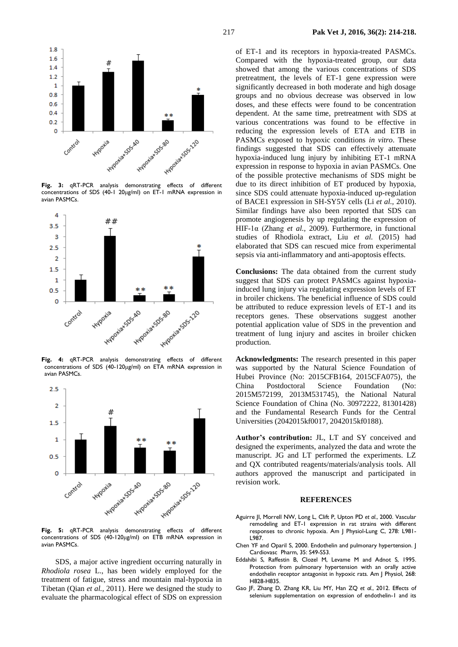

**Fig. 3:** qRT-PCR analysis demonstrating effects of different concentrations of SDS (40-1 20μg/ml) on ET-1 mRNA expression in avian PASMCs.



**Fig. 4:** qRT-PCR analysis demonstrating effects of different concentrations of SDS (40-120μg/ml) on ETA mRNA expression in avian PASMCs.



**Fig. 5:** qRT-PCR analysis demonstrating effects of different concentrations of SDS (40-120μg/ml) on ETB mRNA expression in avian PASMCs.

SDS, a major active ingredient occurring naturally in *Rhodiola rosea* L., has been widely employed for the treatment of fatigue, stress and mountain mal-hypoxia in Tibetan (Qian *et al.,* 2011). Here we designed the study to evaluate the pharmacological effect of SDS on expression

of ET-1 and its receptors in hypoxia-treated PASMCs. Compared with the hypoxia-treated group, our data showed that among the various concentrations of SDS pretreatment, the levels of ET-1 gene expression were significantly decreased in both moderate and high dosage groups and no obvious decrease was observed in low doses, and these effects were found to be concentration dependent. At the same time, pretreatment with SDS at various concentrations was found to be effective in reducing the expression levels of ETA and ETB in PASMCs exposed to hypoxic conditions *in vitro*. These findings suggested that SDS can effectively attenuate hypoxia-induced lung injury by inhibiting ET-1 mRNA expression in response to hypoxia in avian PASMCs. One of the possible protective mechanisms of SDS might be due to its direct inhibition of ET produced by hypoxia, since SDS could attenuate hypoxia-induced up-regulation of BACE1 expression in SH-SY5Y cells (Li *et al.,* 2010). Similar findings have also been reported that SDS can promote angiogenesis by up regulating the expression of HIF-1α (Zhang *et al.,* 2009). Furthermore, in functional studies of Rhodiola extract, Liu *et al.* (2015) had elaborated that SDS can rescued mice from experimental sepsis via anti-inflammatory and anti-apoptosis effects.

**Conclusions:** The data obtained from the current study suggest that SDS can protect PASMCs against hypoxiainduced lung injury via regulating expression levels of ET in broiler chickens. The beneficial influence of SDS could be attributed to reduce expression levels of ET-1 and its receptors genes. These observations suggest another potential application value of SDS in the prevention and treatment of lung injury and ascites in broiler chicken production.

**Acknowledgments:** The research presented in this paper was supported by the Natural Science Foundation of Hubei Province (No: 2015CFB164, 2015CFA075), the China Postdoctoral Science Foundation (No: 2015M572199, 2013M531745), the National Natural Science Foundation of China (No. 30972222, 81301428) and the Fundamental Research Funds for the Central Universities (2042015kf0017, 2042015kf0188).

**Author's contribution:** JL, LT and SY conceived and designed the experiments, analyzed the data and wrote the manuscript. JG and LT performed the experiments. LZ and QX contributed reagents/materials/analysis tools. All authors approved the manuscript and participated in revision work.

#### **REFERENCES**

- Aguirre JI, Morrell NW, Long L, Clift P, Upton PD *et al.*, 2000. [Vascular](http://www.ncbi.nlm.nih.gov/pubmed/10781429)  [remodeling and ET-1 expression in rat strains with different](http://www.ncbi.nlm.nih.gov/pubmed/10781429)  [responses to chronic hypoxia.](http://www.ncbi.nlm.nih.gov/pubmed/10781429) Am J Physiol-Lung C, 278: L981- L987.
- Chen YF and Oparil S, 2000. Endothelin and pulmonary hypertension. J Cardiovasc Pharm, 35: S49-S53.
- Eddahibi S, Raffestin B, Clozel M, Levame M and Adnot S, 1995. Protection from pulmonary hypertension with an orally active endothelin receptor antagonist in hypoxic rats. Am J Physiol, 268: H828-H835.
- Gao JF, Zhang D, Zhang KR, Liu MY, Han ZQ *et al.*, 2012. Effects of selenium supplementation on expression of endothelin-1 and its